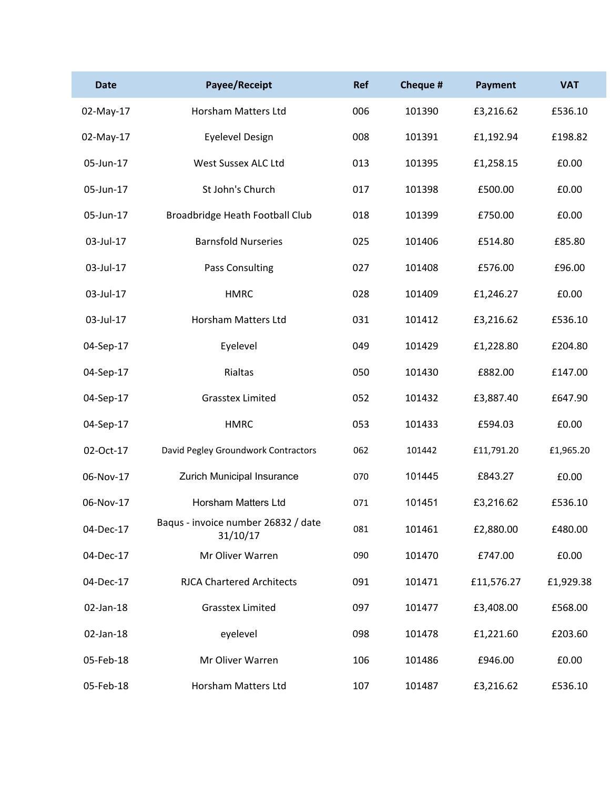| <b>Date</b> | Payee/Receipt                                   | <b>Ref</b> | Cheque # | <b>Payment</b> | <b>VAT</b> |
|-------------|-------------------------------------------------|------------|----------|----------------|------------|
| 02-May-17   | Horsham Matters Ltd                             | 006        | 101390   | £3,216.62      | £536.10    |
| 02-May-17   | <b>Eyelevel Design</b>                          | 008        | 101391   | £1,192.94      | £198.82    |
| 05-Jun-17   | West Sussex ALC Ltd                             | 013        | 101395   | £1,258.15      | £0.00      |
| 05-Jun-17   | St John's Church                                | 017        | 101398   | £500.00        | £0.00      |
| 05-Jun-17   | Broadbridge Heath Football Club                 | 018        | 101399   | £750.00        | £0.00      |
| 03-Jul-17   | <b>Barnsfold Nurseries</b>                      | 025        | 101406   | £514.80        | £85.80     |
| 03-Jul-17   | Pass Consulting                                 | 027        | 101408   | £576.00        | £96.00     |
| 03-Jul-17   | <b>HMRC</b>                                     | 028        | 101409   | £1,246.27      | £0.00      |
| 03-Jul-17   | <b>Horsham Matters Ltd</b>                      | 031        | 101412   | £3,216.62      | £536.10    |
| 04-Sep-17   | Eyelevel                                        | 049        | 101429   | £1,228.80      | £204.80    |
| 04-Sep-17   | Rialtas                                         | 050        | 101430   | £882.00        | £147.00    |
| 04-Sep-17   | <b>Grasstex Limited</b>                         | 052        | 101432   | £3,887.40      | £647.90    |
| 04-Sep-17   | <b>HMRC</b>                                     | 053        | 101433   | £594.03        | £0.00      |
| 02-Oct-17   | David Pegley Groundwork Contractors             | 062        | 101442   | £11,791.20     | £1,965.20  |
| 06-Nov-17   | Zurich Municipal Insurance                      | 070        | 101445   | £843.27        | £0.00      |
| 06-Nov-17   | <b>Horsham Matters Ltd</b>                      | 071        | 101451   | £3,216.62      | £536.10    |
| 04-Dec-17   | Baqus - invoice number 26832 / date<br>31/10/17 | 081        | 101461   | £2,880.00      | £480.00    |
| 04-Dec-17   | Mr Oliver Warren                                | 090        | 101470   | £747.00        | £0.00      |
| 04-Dec-17   | <b>RJCA Chartered Architects</b>                | 091        | 101471   | £11,576.27     | £1,929.38  |
| 02-Jan-18   | <b>Grasstex Limited</b>                         | 097        | 101477   | £3,408.00      | £568.00    |
| 02-Jan-18   | eyelevel                                        | 098        | 101478   | £1,221.60      | £203.60    |
| 05-Feb-18   | Mr Oliver Warren                                | 106        | 101486   | £946.00        | £0.00      |
| 05-Feb-18   | Horsham Matters Ltd                             | 107        | 101487   | £3,216.62      | £536.10    |